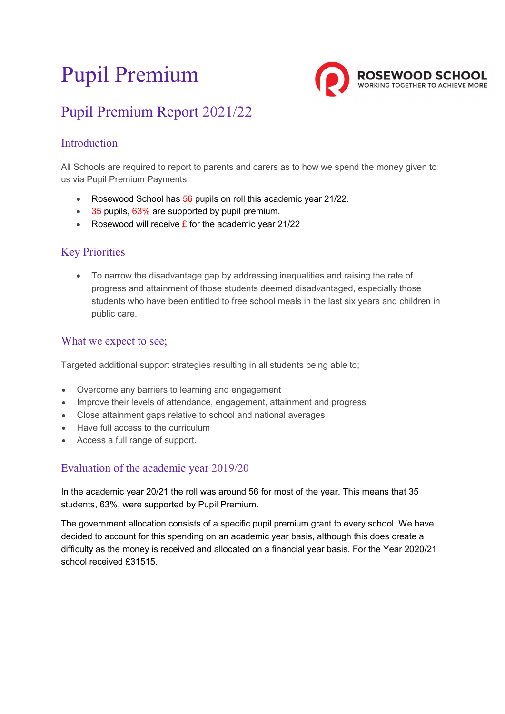# Pupil Premium



# Pupil Premium Report 2021/22

## Introduction

All Schools are required to report to parents and carers as to how we spend the money given to us via Pupil Premium Payments.

- Rosewood School has 56 pupils on roll this academic year 21/22.
- 35 pupils, 63% are supported by pupil premium.
- Rosewood will receive  $\hat{\mathbf{r}}$  for the academic year 21/22

### Key Priorities

 To narrow the disadvantage gap by addressing inequalities and raising the rate of progress and attainment of those students deemed disadvantaged, especially those students who have been entitled to free school meals in the last six years and children in public care.

#### What we expect to see;

Targeted additional support strategies resulting in all students being able to;

- Overcome any barriers to learning and engagement
- Improve their levels of attendance, engagement, attainment and progress
- Close attainment gaps relative to school and national averages
- Have full access to the curriculum
- Access a full range of support.

#### Evaluation of the academic year 2019/20

In the academic year 20/21 the roll was around 56 for most of the year. This means that 35 students, 63%, were supported by Pupil Premium.

The government allocation consists of a specific pupil premium grant to every school. We have decided to account for this spending on an academic year basis, although this does create a difficulty as the money is received and allocated on a financial year basis. For the Year 2020/21 school received £31515.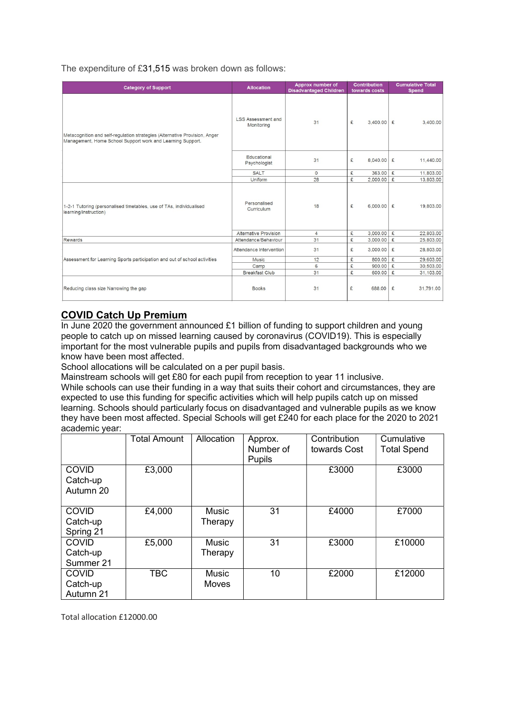The expenditure of £31,515 was broken down as follows:

| <b>Category of Support</b>                                                                                                               | <b>Allocation</b>                       | Approx number of<br><b>Disadvantaged Children</b> | <b>Contribution</b><br>towards costs | <b>Cumulative Total</b><br><b>Spend</b> |
|------------------------------------------------------------------------------------------------------------------------------------------|-----------------------------------------|---------------------------------------------------|--------------------------------------|-----------------------------------------|
| Metacognition and self-regulation strategies (Alternative Provision, Anger<br>Management, Home School Support work and Learning Support. | <b>LSS Assessment and</b><br>Monitoring | 31                                                | £<br>3,400.00                        | £<br>3,400.00                           |
|                                                                                                                                          | Educational<br>31<br>Psychologist       |                                                   | £<br>8,040.00                        | £<br>11,440.00                          |
|                                                                                                                                          | <b>SALT</b>                             | $\Omega$                                          | 363.00<br>£                          | £<br>11,803.00                          |
|                                                                                                                                          | Uniform                                 | 28                                                | £<br>2,000.00                        | £<br>13,803.00                          |
| 1-2-1 Tutoring (personalised timetables, use of TAs, individualised<br>learning/instruction)                                             | Personalised<br>Curriculum              | 18                                                | £<br>6.000.00                        | £<br>19,803.00                          |
|                                                                                                                                          | <b>Alternative Provision</b>            | $\overline{4}$                                    | £<br>3,000.00                        | £<br>22,803.00                          |
| Rewards                                                                                                                                  | Attendance/Behaviour                    | 31                                                | £<br>3,000.00                        | £<br>25,803.00                          |
|                                                                                                                                          | Attendance Intervention                 | 31                                                | £<br>3,000.00                        | £<br>28,803.00                          |
| Assessment for Learning Sports participation and out of school activities                                                                | <b>Music</b>                            | 12                                                | £<br>800.00                          | £<br>29,603.00                          |
|                                                                                                                                          | Camp                                    | 6                                                 | £<br>900.00                          | £<br>30,503.00                          |
|                                                                                                                                          | <b>Breakfast Club</b>                   | 31                                                | £<br>600.00                          | £<br>31,103.00                          |
| Reducing class size Narrowing the gap                                                                                                    | <b>Books</b>                            | 31                                                | £<br>688,00                          | £<br>31,791.00                          |

#### COVID Catch Up Premium

In June 2020 the government announced £1 billion of funding to support children and young people to catch up on missed learning caused by coronavirus (COVID19). This is especially important for the most vulnerable pupils and pupils from disadvantaged backgrounds who we know have been most affected.

School allocations will be calculated on a per pupil basis.

Mainstream schools will get £80 for each pupil from reception to year 11 inclusive.

While schools can use their funding in a way that suits their cohort and circumstances, they are expected to use this funding for specific activities which will help pupils catch up on missed learning. Schools should particularly focus on disadvantaged and vulnerable pupils as we know they have been most affected. Special Schools will get £240 for each place for the 2020 to 2021 academic year:

|                                       | <b>Total Amount</b> | Allocation            | Approx.<br>Number of<br><b>Pupils</b> | Contribution<br>towards Cost | Cumulative<br><b>Total Spend</b> |
|---------------------------------------|---------------------|-----------------------|---------------------------------------|------------------------------|----------------------------------|
| <b>COVID</b><br>Catch-up<br>Autumn 20 | £3,000              |                       |                                       | £3000                        | £3000                            |
| <b>COVID</b><br>Catch-up<br>Spring 21 | £4,000              | Music<br>Therapy      | 31                                    | £4000                        | £7000                            |
| <b>COVID</b><br>Catch-up<br>Summer 21 | £5,000              | Music<br>Therapy      | 31                                    | £3000                        | £10000                           |
| <b>COVID</b><br>Catch-up<br>Autumn 21 | <b>TBC</b>          | Music<br><b>Moves</b> | 10                                    | £2000                        | £12000                           |

Total allocation £12000.00